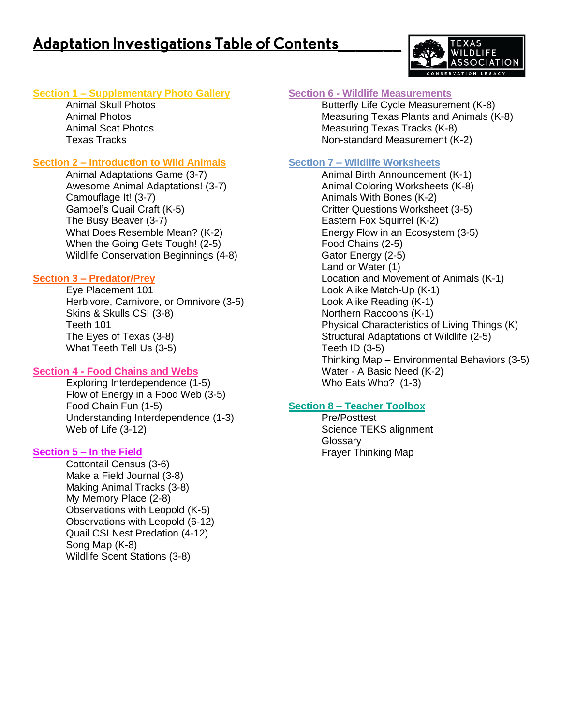# **Adaptation Investigations Table of Contents**



## **Section 1 – Supplementary Photo Gallery**

Animal Skull Photos Animal Photos Animal Scat Photos Texas Tracks

## **Section 2 – Introduction to Wild Animals**

Animal Adaptations Game (3-7) Awesome Animal Adaptations! (3-7) Camouflage It! (3-7) Gambel's Quail Craft (K-5) The Busy Beaver (3-7) What Does Resemble Mean? (K-2) When the Going Gets Tough! (2-5) Wildlife Conservation Beginnings (4-8)

## **Section 3 – Predator/Prey**

Eye Placement 101 Herbivore, Carnivore, or Omnivore (3-5) Skins & Skulls CSI (3-8) Teeth 101 The Eyes of Texas (3-8) What Teeth Tell Us (3-5)

## **Section 4 - Food Chains and Webs**

Exploring Interdependence (1-5) Flow of Energy in a Food Web (3-5) Food Chain Fun (1-5) Understanding Interdependence (1-3) Web of Life (3-12)

## **Section 5 – In the Field**

Cottontail Census (3-6) Make a Field Journal (3-8) Making Animal Tracks (3-8) My Memory Place (2-8) Observations with Leopold (K-5) Observations with Leopold (6-12) Quail CSI Nest Predation (4-12) Song Map (K-8) Wildlife Scent Stations (3-8)

## **Section 6 - Wildlife Measurements**

Butterfly Life Cycle Measurement (K-8) Measuring Texas Plants and Animals (K-8) Measuring Texas Tracks (K-8) Non-standard Measurement (K-2)

## **Section 7 – Wildlife Worksheets**

Animal Birth Announcement (K-1) Animal Coloring Worksheets (K-8) Animals With Bones (K-2) Critter Questions Worksheet (3-5) Eastern Fox Squirrel (K-2) Energy Flow in an Ecosystem (3-5) Food Chains (2-5) Gator Energy (2-5) Land or Water (1) Location and Movement of Animals (K-1) Look Alike Match-Up (K-1) Look Alike Reading (K-1) Northern Raccoons (K-1) Physical Characteristics of Living Things (K) Structural Adaptations of Wildlife (2-5) Teeth ID (3-5) Thinking Map – Environmental Behaviors (3-5) Water - A Basic Need (K-2) Who Eats Who? (1-3)

## **Section 8 – Teacher Toolbox**

Pre/Posttest Science TEKS alignment Glossary Frayer Thinking Map